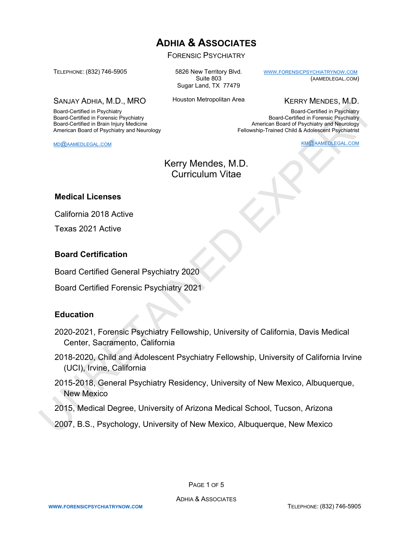# **ADHIA & ASSOCIATES**

FORENSIC PSYCHIATRY

TELEPHONE: (832) 746-5905

Board-Certified in Psychiatry Board-Certified in Forensic Psychiatry Board-Certified in Brain Injury Medicine American Board of Psychiatry and Neurology

SANJAY ADHIA, M.D., MRO

5826 New Territory Blvd. Suite 803 Sugar Land, TX 77479

Houston Metropolitan Area

KERRY MENDES, M.D.

(AAMEDLEGAL.COM)

KM@AAMEDLEGAL.COM

[WWW.FORENSICPSYCHIATRYNOW.COM](about:blank)

Board-Certified in Psychiatry Board-Certified in Forensic Psychiatry American Board of Psychiatry and Neurology Fellowship-Trained Child & Adolescent Psychiatrist

MD@AAMEDLEGAL.COM

Kerry Mendes, M.D. Curriculum Vitae

#### **Medical Licenses**

California 2018 Active

Texas 2021 Active

#### **Board Certification**

Board Certified General Psychiatry 2020

Board Certified Forensic Psychiatry 2021

#### **Education**

- 2020-2021, Forensic Psychiatry Fellowship, University of California, Davis Medical Center, Sacramento, California
- 2018-2020, Child and Adolescent Psychiatry Fellowship, University of California Irvine (UCI), Irvine, California SANIA ADIDENTIFIC MICHAIR CONTROL HOUSE CONTROL CONTROL NEW WEIGHINGTES. MICHAIR CONTROL BONDARY AND Represent from the prior of the prior of the prior of the prior of the control of the analysis of the control of the cont
	- 2015-2018, General Psychiatry Residency, University of New Mexico, Albuquerque, New Mexico
	- 2015, Medical Degree, University of Arizona Medical School, Tucson, Arizona
	- 2007, B.S., Psychology, University of New Mexico, Albuquerque, New Mexico

PAGE 1 OF 5

ADHIA & ASSOCIATES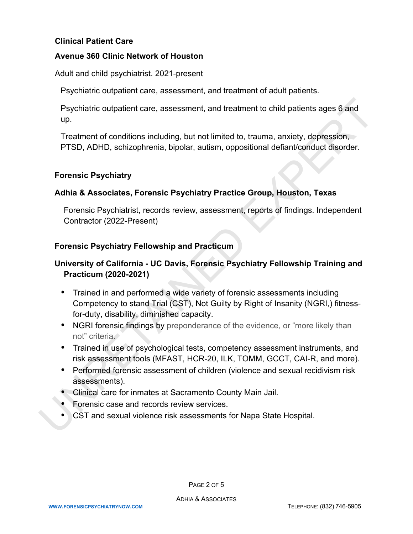## **Clinical Patient Care**

#### **Avenue 360 Clinic Network of Houston**

Adult and child psychiatrist. 2021-present

Psychiatric outpatient care, assessment, and treatment of adult patients.

Psychiatric outpatient care, assessment, and treatment to child patients ages 6 and up.

Treatment of conditions including, but not limited to, trauma, anxiety, depression, PTSD, ADHD, schizophrenia, bipolar, autism, oppositional defiant/conduct disorder.

# **Forensic Psychiatry**

# **Adhia & Associates, Forensic Psychiatry Practice Group, Houston, Texas**

Forensic Psychiatrist, records review, assessment, reports of findings. Independent Contractor (2022-Present)

## **Forensic Psychiatry Fellowship and Practicum**

# **University of California - UC Davis, Forensic Psychiatry Fellowship Training and Practicum (2020-2021)**

- Trained in and performed a wide variety of forensic assessments including Competency to stand Trial (CST), Not Guilty by Right of Insanity (NGRI,) fitnessfor-duty, disability, diminished capacity. Psychiatric outpatient care, assessment, and treatment to child patients ages 6 and<br>up.<br>Treatment of conditions including, but not limited to, trauma, anxiety, depression,<br>PTSD, ADHD, schizophrenia, bipolar, autism, opposi
	- NGRI forensic findings by preponderance of the evidence, or "more likely than not" criteria.
	- Trained in use of psychological tests, competency assessment instruments, and risk assessment tools (MFAST, HCR-20, ILK, TOMM, GCCT, CAI-R, and more).
	- Performed forensic assessment of children (violence and sexual recidivism risk assessments).
	- Clinical care for inmates at Sacramento County Main Jail.
	- Forensic case and records review services.
	- CST and sexual violence risk assessments for Napa State Hospital.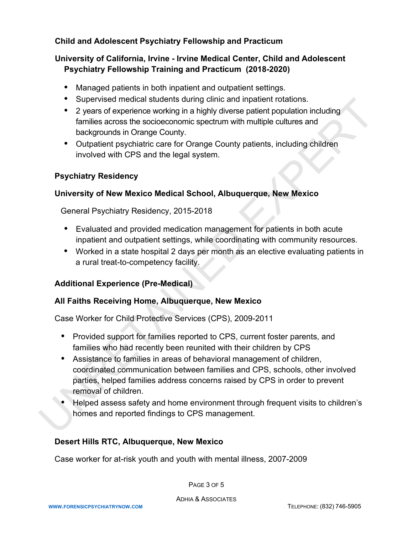# **Child and Adolescent Psychiatry Fellowship and Practicum**

# **University of California, Irvine - Irvine Medical Center, Child and Adolescent Psychiatry Fellowship Training and Practicum (2018-2020)**

- Managed patients in both inpatient and outpatient settings.
- Supervised medical students during clinic and inpatient rotations.
- 2 years of experience working in a highly diverse patient population including families across the socioeconomic spectrum with multiple cultures and backgrounds in Orange County.
- Outpatient psychiatric care for Orange County patients, including children involved with CPS and the legal system.

## **Psychiatry Residency**

## **University of New Mexico Medical School, Albuquerque, New Mexico**

General Psychiatry Residency, 2015-2018

- Evaluated and provided medication management for patients in both acute inpatient and outpatient settings, while coordinating with community resources.
- Worked in a state hospital 2 days per month as an elective evaluating patients in a rural treat-to-competency facility.

#### **Additional Experience (Pre-Medical)**

#### **All Faiths Receiving Home, Albuquerque, New Mexico**

Case Worker for Child Protective Services (CPS), 2009-2011

- Provided support for families reported to CPS, current foster parents, and families who had recently been reunited with their children by CPS
- Assistance to families in areas of behavioral management of children, coordinated communication between families and CPS, schools, other involved parties, helped families address concerns raised by CPS in order to prevent removal of children. • Supervised medical students during clinic and inplatent rotations.<br>• 2 years of experience working in a highly diverse patient population including<br>families across the socioeconomic spectrum with multiple cultures and<br>
	- Helped assess safety and home environment through frequent visits to children's homes and reported findings to CPS management.

# **Desert Hills RTC, Albuquerque, New Mexico**

Case worker for at-risk youth and youth with mental illness, 2007-2009

PAGE 3 OF 5

ADHIA & ASSOCIATES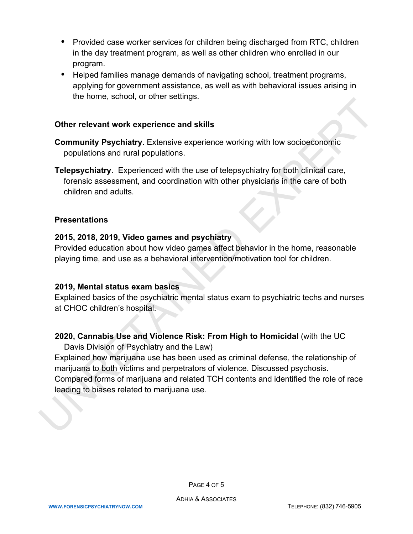- Provided case worker services for children being discharged from RTC, children in the day treatment program, as well as other children who enrolled in our program.
- Helped families manage demands of navigating school, treatment programs, applying for government assistance, as well as with behavioral issues arising in the home, school, or other settings.

#### **Other relevant work experience and skills**

- **Community Psychiatry**. Extensive experience working with low socioeconomic populations and rural populations.
- **Telepsychiatry**. Experienced with the use of telepsychiatry for both clinical care, forensic assessment, and coordination with other physicians in the care of both children and adults.

#### **Presentations**

## **2015, 2018, 2019, Video games and psychiatry**

Provided education about how video games affect behavior in the home, reasonable playing time, and use as a behavioral intervention/motivation tool for children.

#### **2019, Mental status exam basics**

Explained basics of the psychiatric mental status exam to psychiatric techs and nurses at CHOC children's hospital.

# **2020, Cannabis Use and Violence Risk: From High to Homicidal** (with the UC

Davis Division of Psychiatry and the Law)

Explained how marijuana use has been used as criminal defense, the relationship of marijuana to both victims and perpetrators of violence. Discussed psychosis. Compared forms of marijuana and related TCH contents and identified the role of race leading to biases related to marijuana use. The Home, school, or other seamings.<br>
Other relevant work experience and skills<br>
Community Psychiatry. Extensive experience working with low socioeconomic<br>
populations and rural populations.<br>
Telepsychiatry. Experienced wi